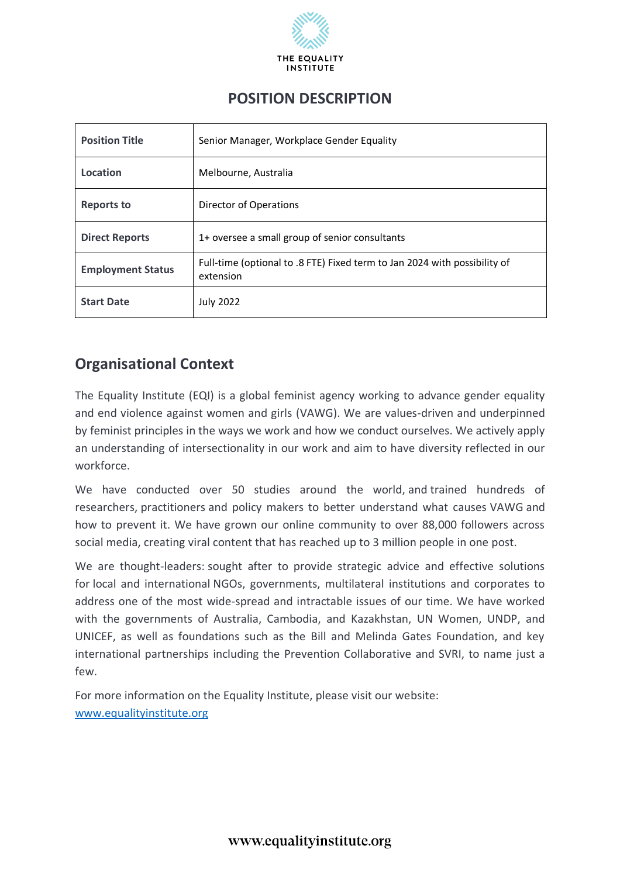

| <b>Position Title</b>    | Senior Manager, Workplace Gender Equality                                              |
|--------------------------|----------------------------------------------------------------------------------------|
| Location                 | Melbourne, Australia                                                                   |
| <b>Reports to</b>        | Director of Operations                                                                 |
| <b>Direct Reports</b>    | 1+ oversee a small group of senior consultants                                         |
| <b>Employment Status</b> | Full-time (optional to .8 FTE) Fixed term to Jan 2024 with possibility of<br>extension |
| <b>Start Date</b>        | <b>July 2022</b>                                                                       |

## **Organisational Context**

The Equality Institute (EQI) is a global feminist agency working to advance gender equality and end violence against women and girls (VAWG). We are values-driven and underpinned by feminist principles in the ways we work and how we conduct ourselves. We actively apply an understanding of intersectionality in our work and aim to have diversity reflected in our workforce.

We have conducted over 50 studies around the world, and trained hundreds of researchers, practitioners and policy makers to better understand what causes VAWG and how to prevent it. We have grown our online community to over 88,000 followers across social media, creating viral content that has reached up to 3 million people in one post.

We are thought-leaders: sought after to provide strategic advice and effective solutions for local and international NGOs, governments, multilateral institutions and corporates to address one of the most wide-spread and intractable issues of our time. We have worked with the governments of Australia, Cambodia, and Kazakhstan, UN Women, UNDP, and UNICEF, as well as foundations such as the Bill and Melinda Gates Foundation, and key international partnerships including the Prevention Collaborative and SVRI, to name just a few.

For more information on the Equality Institute, please visit our website: [www.equalityinstitute.org](http://www.equalityinstitute.org/)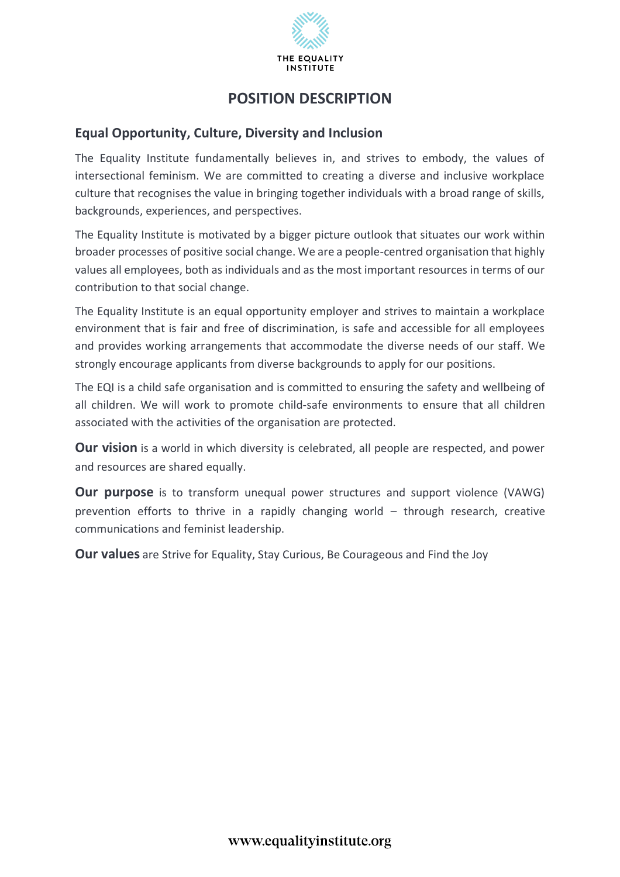

### **Equal Opportunity, Culture, Diversity and Inclusion**

The Equality Institute fundamentally believes in, and strives to embody, the values of intersectional feminism. We are committed to creating a diverse and inclusive workplace culture that recognises the value in bringing together individuals with a broad range of skills, backgrounds, experiences, and perspectives.

The Equality Institute is motivated by a bigger picture outlook that situates our work within broader processes of positive social change. We are a people-centred organisation that highly values all employees, both as individuals and as the most important resources in terms of our contribution to that social change.

The Equality Institute is an equal opportunity employer and strives to maintain a workplace environment that is fair and free of discrimination, is safe and accessible for all employees and provides working arrangements that accommodate the diverse needs of our staff. We strongly encourage applicants from diverse backgrounds to apply for our positions.

The EQI is a child safe organisation and is committed to ensuring the safety and wellbeing of all children. We will work to promote child-safe environments to ensure that all children associated with the activities of the organisation are protected.

**Our vision** is a world in which diversity is celebrated, all people are respected, and power and resources are shared equally.

**Our purpose** is to transform unequal power structures and support violence (VAWG) prevention efforts to thrive in a rapidly changing world – through research, creative communications and feminist leadership.

**Our values** are Strive for Equality, Stay Curious, Be Courageous and Find the Joy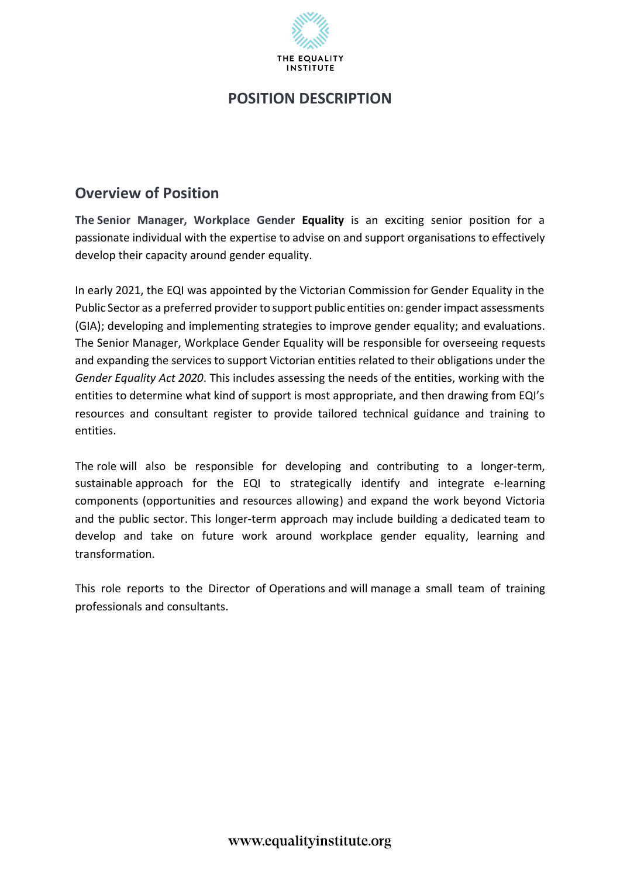

### **Overview of Position**

**The Senior Manager, Workplace Gender Equality** is an exciting senior position for a passionate individual with the expertise to advise on and support organisations to effectively develop their capacity around gender equality.

In early 2021, the EQI was appointed by the Victorian Commission for Gender Equality in the Public Sector as a preferred provider to support public entities on: gender impact assessments (GIA); developing and implementing strategies to improve gender equality; and evaluations. The Senior Manager, Workplace Gender Equality will be responsible for overseeing requests and expanding the services to support Victorian entities related to their obligations under the *Gender Equality Act 2020*. This includes assessing the needs of the entities, working with the entities to determine what kind of support is most appropriate, and then drawing from EQI's resources and consultant register to provide tailored technical guidance and training to entities.

The role will also be responsible for developing and contributing to a longer-term, sustainable approach for the EQI to strategically identify and integrate e-learning components (opportunities and resources allowing) and expand the work beyond Victoria and the public sector. This longer-term approach may include building a dedicated team to develop and take on future work around workplace gender equality, learning and transformation.

This role reports to the Director of Operations and will manage a small team of training professionals and consultants.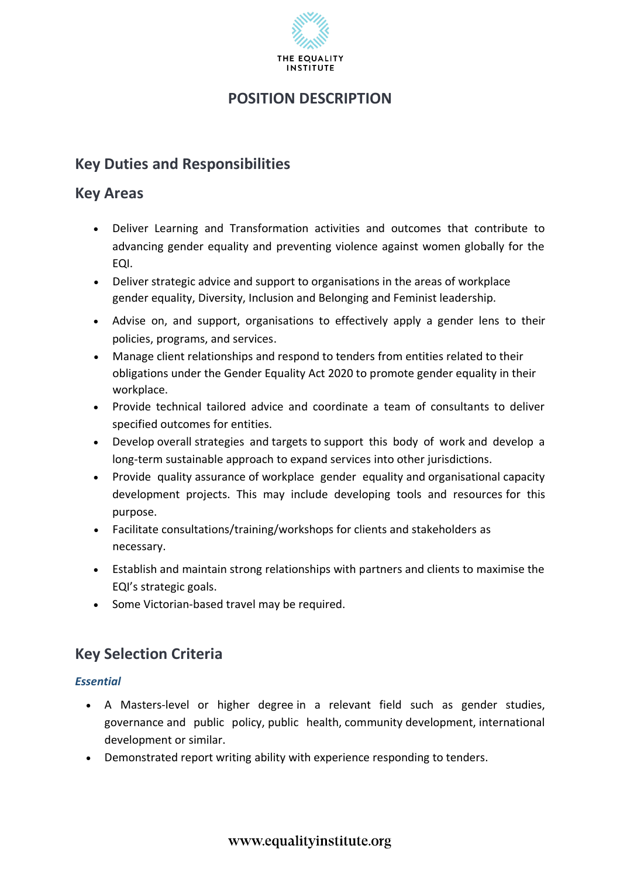

# **Key Duties and Responsibilities**

### **Key Areas**

- Deliver Learning and Transformation activities and outcomes that contribute to advancing gender equality and preventing violence against women globally for the EQI.
- Deliver strategic advice and support to organisations in the areas of workplace gender equality, Diversity, Inclusion and Belonging and Feminist leadership.
- Advise on, and support, organisations to effectively apply a gender lens to their policies, programs, and services.
- Manage client relationships and respond to tenders from entities related to their obligations under the Gender Equality Act 2020 to promote gender equality in their workplace.
- Provide technical tailored advice and coordinate a team of consultants to deliver specified outcomes for entities.
- Develop overall strategies and targets to support this body of work and develop a long-term sustainable approach to expand services into other jurisdictions.
- Provide quality assurance of workplace gender equality and organisational capacity development projects. This may include developing tools and resources for this purpose.
- Facilitate consultations/training/workshops for clients and stakeholders as necessary.
- Establish and maintain strong relationships with partners and clients to maximise the EQI's strategic goals.
- Some Victorian-based travel may be required.

# **Key Selection Criteria**

### *Essential*

- A Masters-level or higher degree in a relevant field such as gender studies, governance and public policy, public health, community development, international development or similar.
- Demonstrated report writing ability with experience responding to tenders.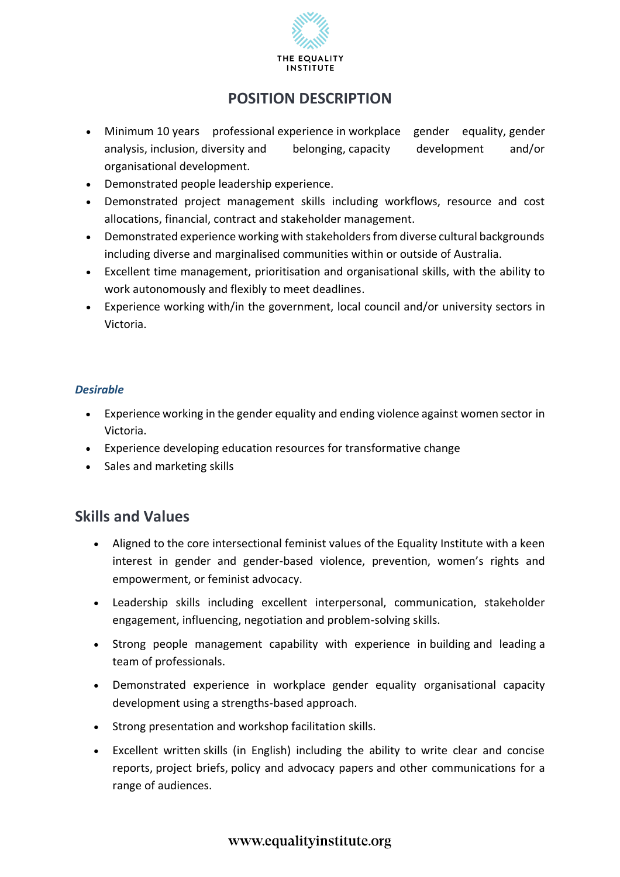

- Minimum 10 years professional experience in workplace gender equality, gender analysis, inclusion, diversity and belonging, capacity development and/or organisational development.
- Demonstrated people leadership experience.
- Demonstrated project management skills including workflows, resource and cost allocations, financial, contract and stakeholder management.
- Demonstrated experience working with stakeholders from diverse cultural backgrounds including diverse and marginalised communities within or outside of Australia.
- Excellent time management, prioritisation and organisational skills, with the ability to work autonomously and flexibly to meet deadlines.
- Experience working with/in the government, local council and/or university sectors in Victoria.

#### *Desirable*

- Experience working in the gender equality and ending violence against women sector in Victoria.
- Experience developing education resources for transformative change
- Sales and marketing skills

### **Skills and Values**

- Aligned to the core intersectional feminist values of the Equality Institute with a keen interest in gender and gender-based violence, prevention, women's rights and empowerment, or feminist advocacy.
- Leadership skills including excellent interpersonal, communication, stakeholder engagement, influencing, negotiation and problem-solving skills.
- Strong people management capability with experience in building and leading a team of professionals.
- Demonstrated experience in workplace gender equality organisational capacity development using a strengths-based approach.
- Strong presentation and workshop facilitation skills.
- Excellent written skills (in English) including the ability to write clear and concise reports, project briefs, policy and advocacy papers and other communications for a range of audiences.

### www.equalityinstitute.org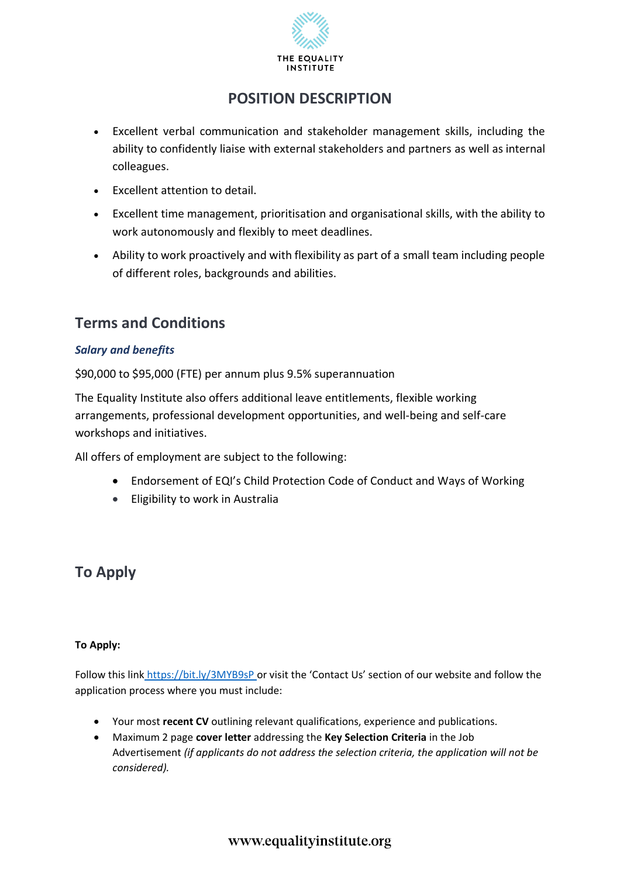

- Excellent verbal communication and stakeholder management skills, including the ability to confidently liaise with external stakeholders and partners as well as internal colleagues.
- Excellent attention to detail.
- Excellent time management, prioritisation and organisational skills, with the ability to work autonomously and flexibly to meet deadlines.
- Ability to work proactively and with flexibility as part of a small team including people of different roles, backgrounds and abilities.

## **Terms and Conditions**

#### *Salary and benefits*

\$90,000 to \$95,000 (FTE) per annum plus 9.5% superannuation

The Equality Institute also offers additional leave entitlements, flexible working arrangements, professional development opportunities, and well-being and self-care workshops and initiatives.

All offers of employment are subject to the following:

- Endorsement of EQI's Child Protection Code of Conduct and Ways of Working
- Eligibility to work in Australia

# **To Apply**

#### **To Apply:**

Follow this link https://bit.ly/3MYB9sP or visit the 'Contact Us' section of our website and follow the application process where you must include:

- Your most **recent CV** outlining relevant qualifications, experience and publications.
- Maximum 2 page **cover letter** addressing the **Key Selection Criteria** in the Job Advertisement *(if applicants do not address the selection criteria, the application will not be considered).*

### www.equalityinstitute.org